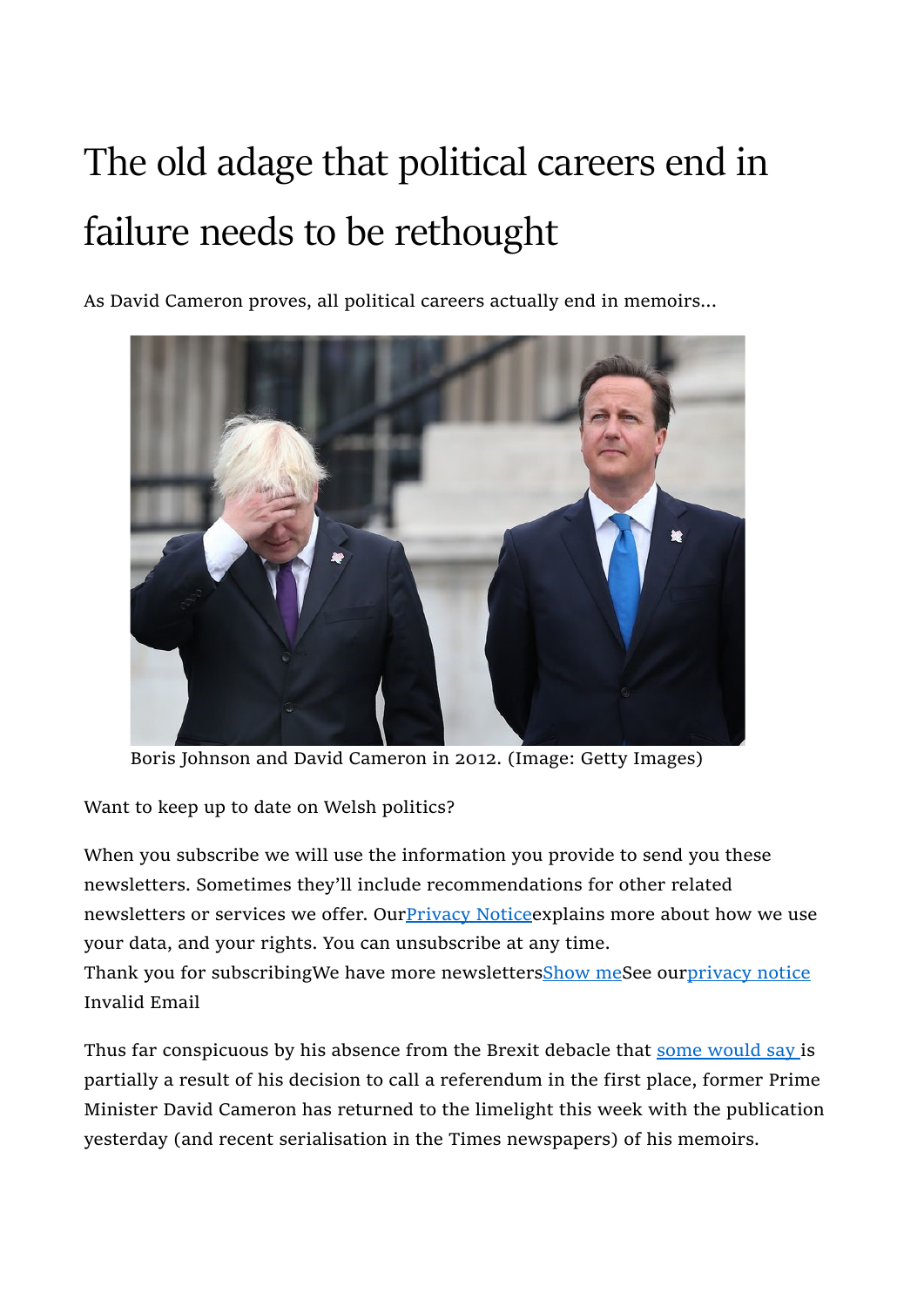## The old adage that political careers end in failure needs to be rethought

As David Cameron proves, all political careers actually end in memoirs...



Boris Johnson and David Cameron in 2012. (Image: Getty Images)

Want to keep up to date on Welsh politics?

When you subscribe we will use the information you provide to send you these newsletters. Sometimes they'll include recommendations for other related newsletters or services we offer. Our Privacy Notice explains more about how we use your data, and your rights. You can unsubscribe at any time.

Thank you for subscribingWe have more newslettersShow meSee ourprivacy notice Invalid Email

Thus far conspicuous by his absence from the Brexit debacle that some would say is partially a result of his decision to call a referendum in the first place, former Prime Minister David Cameron has returned to the limelight this week with the publication yesterday (and recent serialisation in the Times newspapers) of his memoirs.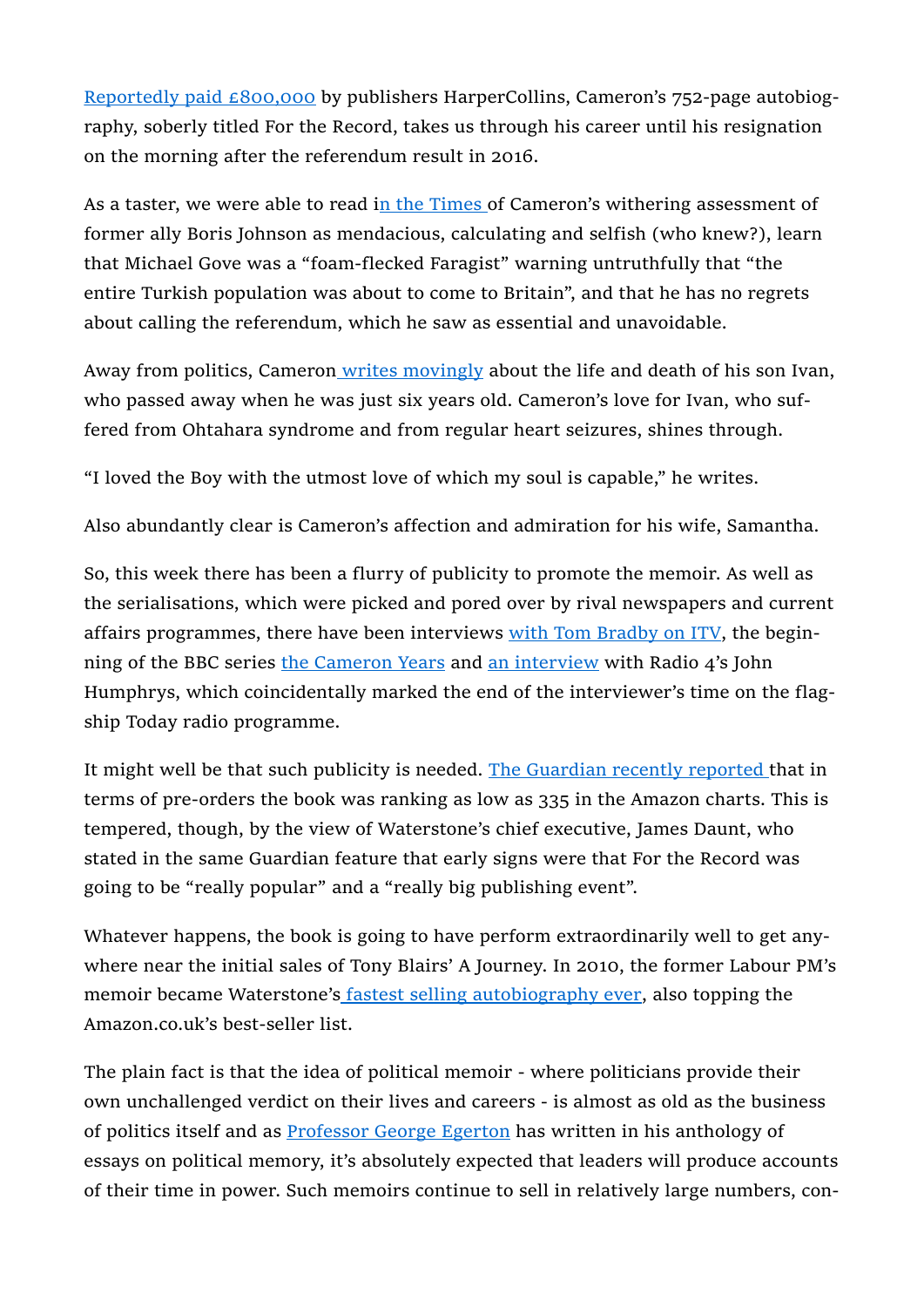Reportedly paid £800,000 by publishers HarperCollins, Cameron's 752-page autobiography, soberly titled For the Record, takes us through his career until his resignation on the morning after the referendum result in 2016.

As a taster, we were able to read in the Times of Cameron's withering assessment of former ally Boris Johnson as mendacious, calculating and selfish (who knew?), learn that Michael Gove was a "foam-flecked Faragist" warning untruthfully that "the entire Turkish population was about to come to Britain", and that he has no regrets about calling the referendum, which he saw as essential and unavoidable.

Away from politics, Cameron writes movingly about the life and death of his son Ivan, who passed away when he was just six years old. Cameron's love for Ivan, who suffered from Ohtahara syndrome and from regular heart seizures, shines through.

"I loved the Boy with the utmost love of which my soul is capable," he writes.

Also abundantly clear is Cameron's affection and admiration for his wife, Samantha.

So, this week there has been a flurry of publicity to promote the memoir. As well as the serialisations, which were picked and pored over by rival newspapers and current affairs programmes, there have been interviews with Tom Bradby on ITV, the beginning of the BBC series the Cameron Years and an interview with Radio 4's John Humphrys, which coincidentally marked the end of the interviewer's time on the flagship Today radio programme.

It might well be that such publicity is needed. The Guardian recently reported that in terms of pre-orders the book was ranking as low as 335 in the Amazon charts. This is tempered, though, by the view of Waterstone's chief executive, James Daunt, who stated in the same Guardian feature that early signs were that For the Record was going to be "really popular" and a "really big publishing event".

Whatever happens, the book is going to have perform extraordinarily well to get anywhere near the initial sales of Tony Blairs' A Journey. In 2010, the former Labour PM's memoir became Waterstone's fastest selling autobiography ever, also topping the Amazon.co.uk's best-seller list.

The plain fact is that the idea of political memoir - where politicians provide their own unchallenged verdict on their lives and careers - is almost as old as the business of politics itself and as Professor George Egerton has written in his anthology of essays on political memory, it's absolutely expected that leaders will produce accounts of their time in power. Such memoirs continue to sell in relatively large numbers, con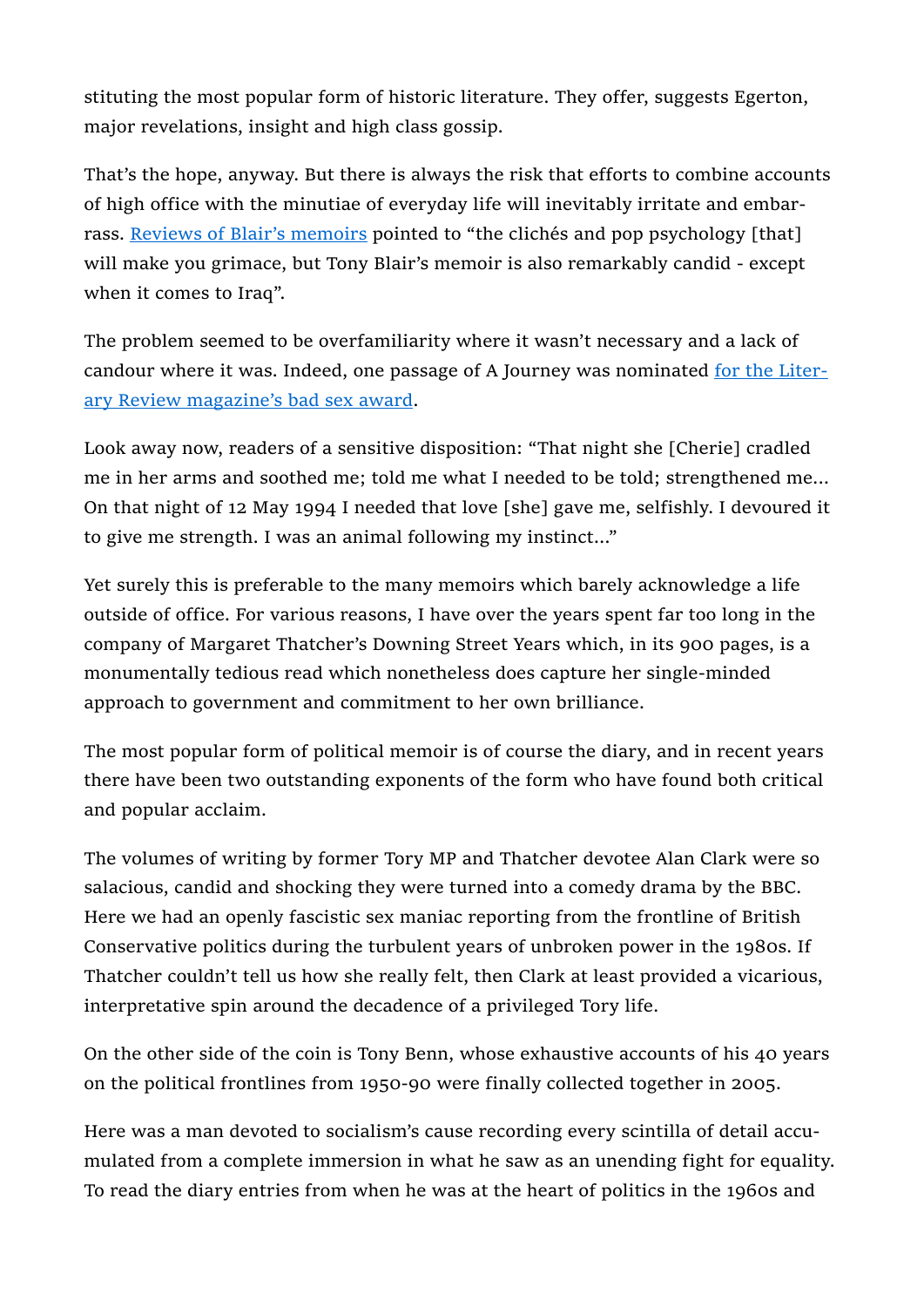stituting the most popular form of historic literature. They offer, suggests Egerton, major revelations, insight and high class gossip.

That's the hope, anyway. But there is always the risk that efforts to combine accounts of high office with the minutiae of everyday life will inevitably irritate and embarrass. Reviews of Blair's memoirs pointed to "the clichés and pop psychology [that] will make you grimace, but Tony Blair's memoir is also remarkably candid - except when it comes to Iraq".

The problem seemed to be overfamiliarity where it wasn't necessary and a lack of candour where it was. Indeed, one passage of A Journey was nominated for the Literary Review magazine's bad sex award.

Look away now, readers of a sensitive disposition: "That night she [Cherie] cradled me in her arms and soothed me; told me what I needed to be told; strengthened me... On that night of 12 May 1994 I needed that love [she] gave me, selfishly. I devoured it to give me strength. I was an animal following my instinct..."

Yet surely this is preferable to the many memoirs which barely acknowledge a life outside of office. For various reasons, I have over the years spent far too long in the company of Margaret Thatcher's Downing Street Years which, in its 900 pages, is a monumentally tedious read which nonetheless does capture her single-minded approach to government and commitment to her own brilliance.

The most popular form of political memoir is of course the diary, and in recent years there have been two outstanding exponents of the form who have found both critical and popular acclaim.

The volumes of writing by former Tory MP and Thatcher devotee Alan Clark were so salacious, candid and shocking they were turned into a comedy drama by the BBC. Here we had an openly fascistic sex maniac reporting from the frontline of British Conservative politics during the turbulent years of unbroken power in the 1980s. If Thatcher couldn't tell us how she really felt, then Clark at least provided a vicarious, interpretative spin around the decadence of a privileged Tory life.

On the other side of the coin is Tony Benn, whose exhaustive accounts of his 40 years on the political frontlines from 1950-90 were finally collected together in 2005.

Here was a man devoted to socialism's cause recording every scintilla of detail accumulated from a complete immersion in what he saw as an unending fight for equality. To read the diary entries from when he was at the heart of politics in the 1960s and